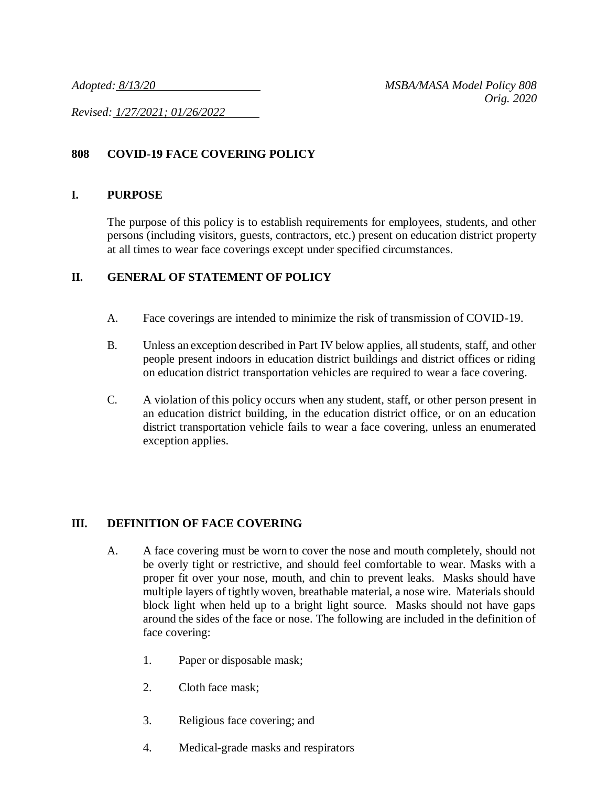*Revised: 1/27/2021; 01/26/2022*

# **808 COVID-19 FACE COVERING POLICY**

### **I. PURPOSE**

The purpose of this policy is to establish requirements for employees, students, and other persons (including visitors, guests, contractors, etc.) present on education district property at all times to wear face coverings except under specified circumstances.

## **II. GENERAL OF STATEMENT OF POLICY**

- A. Face coverings are intended to minimize the risk of transmission of COVID-19.
- B. Unless an exception described in Part IV below applies, allstudents, staff, and other people present indoors in education district buildings and district offices or riding on education district transportation vehicles are required to wear a face covering.
- C. A violation of this policy occurs when any student, staff, or other person present in an education district building, in the education district office, or on an education district transportation vehicle fails to wear a face covering, unless an enumerated exception applies.

## **III. DEFINITION OF FACE COVERING**

- A. A face covering must be worn to cover the nose and mouth completely, should not be overly tight or restrictive, and should feel comfortable to wear. Masks with a proper fit over your nose, mouth, and chin to prevent leaks. Masks should have multiple layers of tightly woven, breathable material, a nose wire. Materials should block light when held up to a bright light source. Masks should not have gaps around the sides of the face or nose. The following are included in the definition of face covering:
	- 1. Paper or disposable mask;
	- 2. Cloth face mask;
	- 3. Religious face covering; and
	- 4. Medical-grade masks and respirators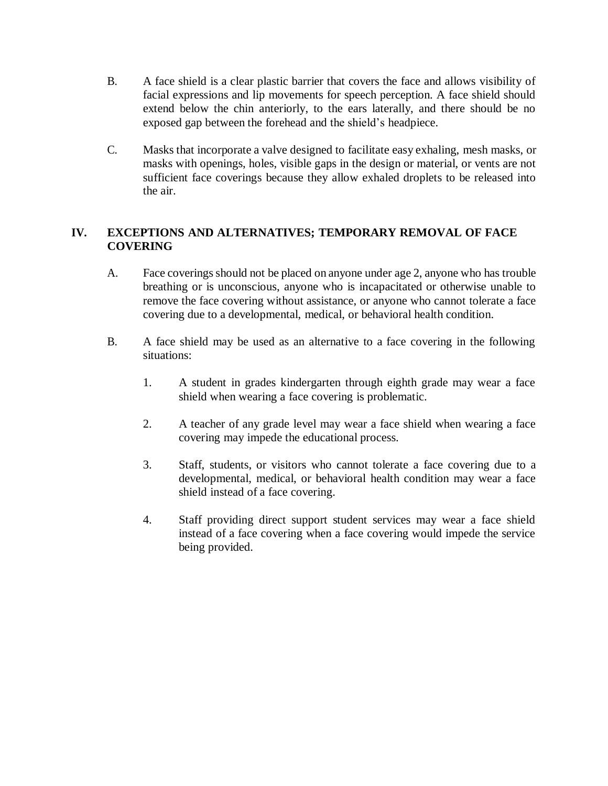- B. A face shield is a clear plastic barrier that covers the face and allows visibility of facial expressions and lip movements for speech perception. A face shield should extend below the chin anteriorly, to the ears laterally, and there should be no exposed gap between the forehead and the shield's headpiece.
- C. Masks that incorporate a valve designed to facilitate easy exhaling, mesh masks, or masks with openings, holes, visible gaps in the design or material, or vents are not sufficient face coverings because they allow exhaled droplets to be released into the air.

### **IV. EXCEPTIONS AND ALTERNATIVES; TEMPORARY REMOVAL OF FACE COVERING**

- A. Face coverings should not be placed on anyone under age 2, anyone who has trouble breathing or is unconscious, anyone who is incapacitated or otherwise unable to remove the face covering without assistance, or anyone who cannot tolerate a face covering due to a developmental, medical, or behavioral health condition.
- B. A face shield may be used as an alternative to a face covering in the following situations:
	- 1. A student in grades kindergarten through eighth grade may wear a face shield when wearing a face covering is problematic.
	- 2. A teacher of any grade level may wear a face shield when wearing a face covering may impede the educational process.
	- 3. Staff, students, or visitors who cannot tolerate a face covering due to a developmental, medical, or behavioral health condition may wear a face shield instead of a face covering.
	- 4. Staff providing direct support student services may wear a face shield instead of a face covering when a face covering would impede the service being provided.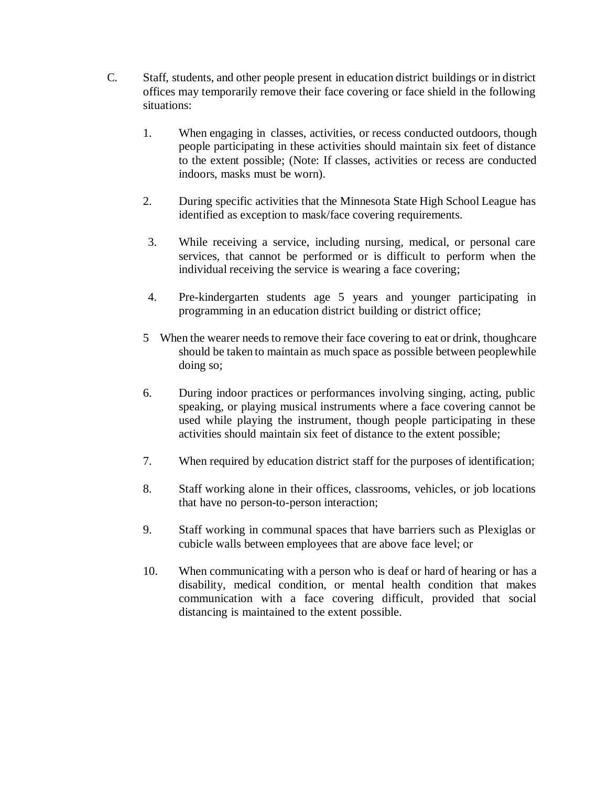- C. Staff, students, and other people present in education district buildings or in district offices may temporarily remove their face covering or face shield in the following situations:
	- 1. When engaging in classes, activities, or recess conducted outdoors, though people participating in these activities should maintain six feet of distance to the extent possible; (Note: If classes, activities or recess are conducted indoors, masks must be worn).
	- 2. During specific activities that the Minnesota State High School League has identified as exception to mask/face covering requirements.
	- 3. While receiving a service, including nursing, medical, or personal care services, that cannot be performed or is difficult to perform when the individual receiving the service is wearing a face covering;
	- 4. Pre-kindergarten students age 5 years and younger participating in programming in an education district building or district office;
	- 5 When the wearer needs to remove their face covering to eat or drink, thoughcare should be taken to maintain as much space as possible between peoplewhile doing so;
	- 6. During indoor practices or performances involving singing, acting, public speaking, or playing musical instruments where a face covering cannot be used while playing the instrument, though people participating in these activities should maintain six feet of distance to the extent possible;
	- 7. When required by education district staff for the purposes of identification;
	- 8. Staff working alone in their offices, classrooms, vehicles, or job locations that have no person-to-person interaction;
	- 9. Staff working in communal spaces that have barriers such as Plexiglas or cubicle walls between employees that are above face level; or
	- 10. When communicating with a person who is deaf or hard of hearing or has a disability, medical condition, or mental health condition that makes communication with a face covering difficult, provided that social distancing is maintained to the extent possible.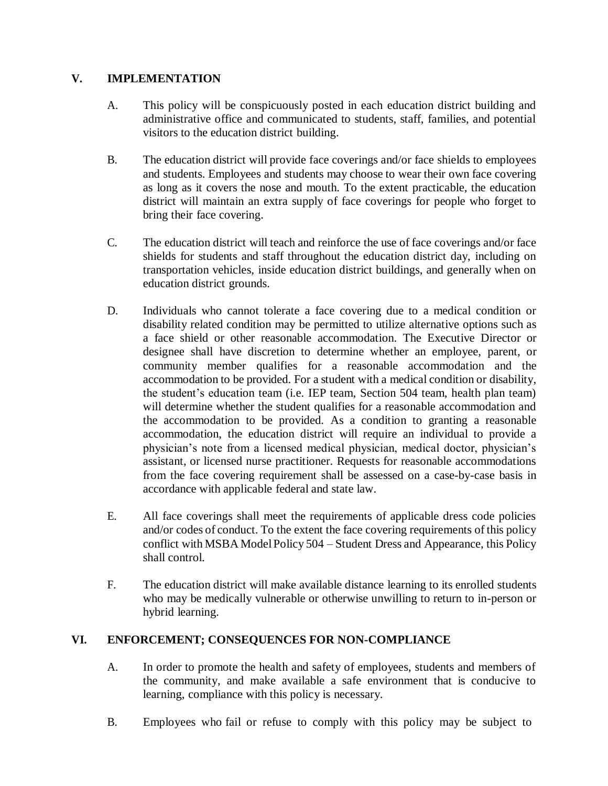### **V. IMPLEMENTATION**

- A. This policy will be conspicuously posted in each education district building and administrative office and communicated to students, staff, families, and potential visitors to the education district building.
- B. The education district will provide face coverings and/or face shields to employees and students. Employees and students may choose to wear their own face covering as long as it covers the nose and mouth. To the extent practicable, the education district will maintain an extra supply of face coverings for people who forget to bring their face covering.
- C. The education district will teach and reinforce the use of face coverings and/or face shields for students and staff throughout the education district day, including on transportation vehicles, inside education district buildings, and generally when on education district grounds.
- D. Individuals who cannot tolerate a face covering due to a medical condition or disability related condition may be permitted to utilize alternative options such as a face shield or other reasonable accommodation. The Executive Director or designee shall have discretion to determine whether an employee, parent, or community member qualifies for a reasonable accommodation and the accommodation to be provided. For a student with a medical condition or disability, the student's education team (i.e. IEP team, Section 504 team, health plan team) will determine whether the student qualifies for a reasonable accommodation and the accommodation to be provided. As a condition to granting a reasonable accommodation, the education district will require an individual to provide a physician's note from a licensed medical physician, medical doctor, physician's assistant, or licensed nurse practitioner. Requests for reasonable accommodations from the face covering requirement shall be assessed on a case-by-case basis in accordance with applicable federal and state law.
- E. All face coverings shall meet the requirements of applicable dress code policies and/or codes of conduct. To the extent the face covering requirements of this policy conflict with MSBA ModelPolicy 504 – Student Dress and Appearance, this Policy shall control.
- F. The education district will make available distance learning to its enrolled students who may be medically vulnerable or otherwise unwilling to return to in-person or hybrid learning.

## **VI. ENFORCEMENT; CONSEQUENCES FOR NON-COMPLIANCE**

- A. In order to promote the health and safety of employees, students and members of the community, and make available a safe environment that is conducive to learning, compliance with this policy is necessary.
- B. Employees who fail or refuse to comply with this policy may be subject to